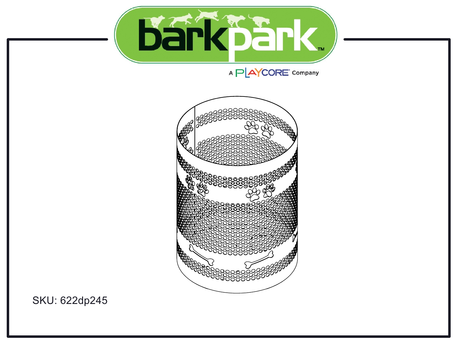

## 



SKU: 622dp245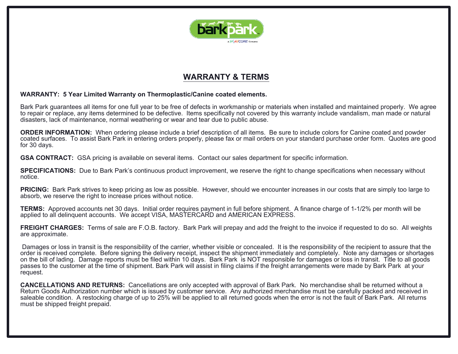

### **WARRANTY & TERMS**

#### **WARRANTY: 5 Year Limited Warranty on Thermoplastic/Canine coated elements.**

Bark Park guarantees all items for one full year to be free of defects in workmanship or materials when installed and maintained properly. We agree to repair or replace, any items determined to be defective. Items specifically not covered by this warranty include vandalism, man made or natural disasters, lack of maintenance, normal weathering or wear and tear due to public abuse.

**ORDER INFORMATION:** When ordering please include a brief description of all items. Be sure to include colors for Canine coated and powder coated surfaces. To assist Bark Park in entering orders properly, please fax or mail orders on your standard purchase order form. Quotes are good for 30 days.

**GSA CONTRACT:** GSA pricing is available on several items. Contact our sales department for specific information.

**SPECIFICATIONS:** Due to Bark Park's continuous product improvement, we reserve the right to change specifications when necessary without notice.

**PRICING:** Bark Park strives to keep pricing as low as possible. However, should we encounter increases in our costs that are simply too large to absorb, we reserve the right to increase prices without notice.

**TERMS:** Approved accounts net 30 days. Initial order requires payment in full before shipment. A finance charge of 1-1/2% per month will be applied to all delinquent accounts. We accept VISA, MASTERCARD and AMERICAN EXPRESS.

**FREIGHT CHARGES:** Terms of sale are F.O.B. factory. Bark Park will prepay and add the freight to the invoice if requested to do so. All weights are approximate.

Damages or loss in transit is the responsibility of the carrier, whether visible or concealed. It is the responsibility of the recipient to assure that the order is received complete. Before signing the delivery receipt, inspect the shipment immediately and completely. Note any damages or shortages on the bill of lading. Damage reports must be filed within 10 days. Bark Park is NOT responsible for damages or loss in transit. Title to all goods passes to the customer at the time of shipment. Bark Park will assist in filing claims if the freight arrangements were made by Bark Park at your request.

**CANCELLATIONS AND RETURNS:** Cancellations are only accepted with approval of Bark Park. No merchandise shall be returned without a Return Goods Authorization number which is issued by customer service. Any authorized merchandise must be carefully packed and received in saleable condition. A restocking charge of up to 25% will be applied to all returned goods when the error is not the fault of Bark Park. All returns must be shipped freight prepaid.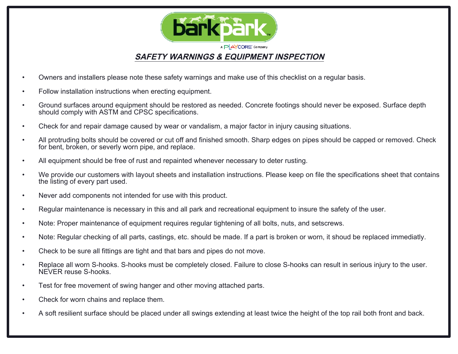

- Owners and installers please note these safety warnings and make use of this checklist on a regular basis.
- Follow installation instructions when erecting equipment.
- Ground surfaces around equipment should be restored as needed. Concrete footings should never be exposed. Surface depth should comply with ASTM and CPSC specifications.
- Check for and repair damage caused by wear or vandalism, a major factor in injury causing situations.
- All protruding bolts should be covered or cut off and finished smooth. Sharp edges on pipes should be capped or removed. Check for bent, broken, or severly worn pipe, and replace.
- All equipment should be free of rust and repainted whenever necessary to deter rusting.
- We provide our customers with layout sheets and installation instructions. Please keep on file the specifications sheet that contains the listing of every part used.
- Never add components not intended for use with this product.
- Regular maintenance is necessary in this and all park and recreational equipment to insure the safety of the user.
- Note: Proper maintenance of equipment requires regular tightening of all bolts, nuts, and setscrews.
- Note: Regular checking of all parts, castings, etc. should be made. If a part is broken or worn, it shoud be replaced immediatly.
- Check to be sure all fittings are tight and that bars and pipes do not move.
- Replace all worn S-hooks. S-hooks must be completely closed. Failure to close S-hooks can result in serious injury to the user. NEVER reuse S-hooks.
- Test for free movement of swing hanger and other moving attached parts.
- Check for worn chains and replace them.
- A soft resilient surface should be placed under all swings extending at least twice the height of the top rail both front and back.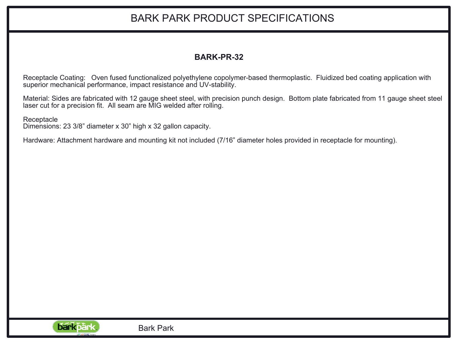# BARK PARK PRODUCT SPECIFICATIONS

## **BARK-PR-32**

Receptacle Coating: Oven fused functionalized polyethylene copolymer-based thermoplastic. Fluidized bed coating application with superior mechanical performance, impact resistance and UV-stability.

Material: Sides are fabricated with 12 gauge sheet steel, with precision punch design. Bottom plate fabricated from 11 gauge sheet steel laser cut for a precision fit. All seam are MIG welded after rolling.

**Receptacle** 

Dimensions: 23 3/8" diameter x 30" high x 32 gallon capacity.

Hardware: Attachment hardware and mounting kit not included (7/16" diameter holes provided in receptacle for mounting).